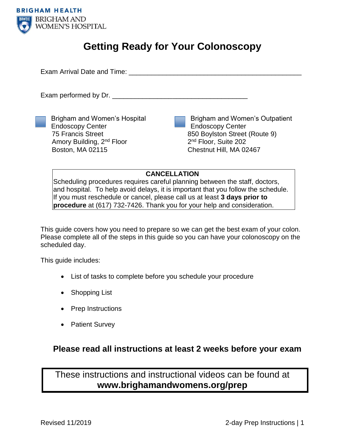

# **Getting Ready for Your Colonoscopy**

Exam Arrival Date and Time: **Example 19** Figures 1

Exam performed by Dr.

Brigham and Women's Hospital Endoscopy Center 75 Francis Street Amory Building, 2nd Floor Boston, MA 02115

Brigham and Women's Outpatient Endoscopy Center 850 Boylston Street (Route 9) 2<sup>nd</sup> Floor, Suite 202 Chestnut Hill, MA 02467

### **CANCELLATION**

Scheduling procedures requires careful planning between the staff, doctors, and hospital. To help avoid delays, it is important that you follow the schedule. If you must reschedule or cancel, please call us at least **3 days prior to procedure** at (617) 732-7426. Thank you for your help and consideration.

This guide covers how you need to prepare so we can get the best exam of your colon. Please complete all of the steps in this guide so you can have your colonoscopy on the scheduled day.

This guide includes:

- List of tasks to complete before you schedule your procedure
- Shopping List
- Prep Instructions
- Patient Survey

### **Please read all instructions at least 2 weeks before your exam**

These instructions and instructional videos can be found at **www.brighamandwomens.org/prep**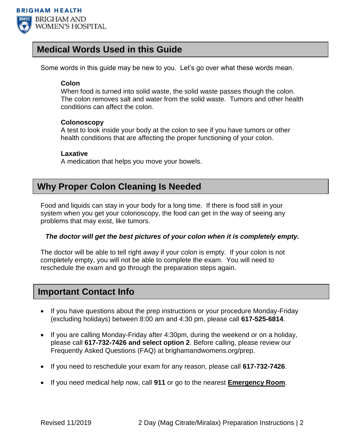

### **Medical Words Used in this Guide**

Some words in this guide may be new to you. Let's go over what these words mean.

### **Colon**

When food is turned into solid waste, the solid waste passes though the colon. The colon removes salt and water from the solid waste. Tumors and other health conditions can affect the colon.

### **Colonoscopy**

A test to look inside your body at the colon to see if you have tumors or other health conditions that are affecting the proper functioning of your colon.

#### **Laxative**

A medication that helps you move your bowels.

## **Why Proper Colon Cleaning Is Needed**

Food and liquids can stay in your body for a long time. If there is food still in your system when you get your colonoscopy, the food can get in the way of seeing any problems that may exist, like tumors.

### *The doctor will get the best pictures of your colon when it is completely empty.*

The doctor will be able to tell right away if your colon is empty. If your colon is not completely empty, you will not be able to complete the exam. You will need to reschedule the exam and go through the preparation steps again.

### **Important Contact Info**

- If you have questions about the prep instructions or your procedure Monday-Friday (excluding holidays) between 8:00 am and 4:30 pm, please call **617-525-6814**.
- If you are calling Monday-Friday after 4:30pm, during the weekend or on a holiday, please call **617-732-7426 and select option 2**. Before calling, please review our Frequently Asked Questions (FAQ) at brighamandwomens.org/prep.
- If you need to reschedule your exam for any reason, please call **617-732-7426**.
- If you need medical help now, call **911** or go to the nearest **Emergency Room**.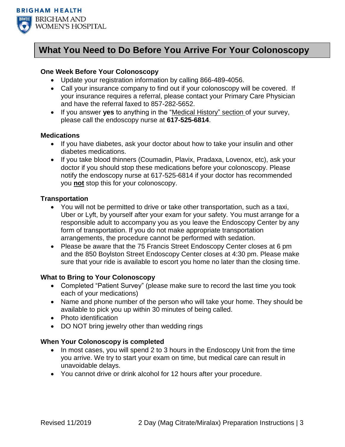

# **What You Need to Do Before You Arrive For Your Colonoscopy**

### **One Week Before Your Colonoscopy**

- Update your registration information by calling 866-489-4056.
- Call your insurance company to find out if your colonoscopy will be covered. If your insurance requires a referral, please contact your Primary Care Physician and have the referral faxed to 857-282-5652.
- If you answer **yes** to anything in the "Medical History" section of your survey, please call the endoscopy nurse at **617-525-6814**.

#### **Medications**

- If you have diabetes, ask your doctor about how to take your insulin and other diabetes medications.
- If you take blood thinners (Coumadin, Plavix, Pradaxa, Lovenox, etc), ask your doctor if you should stop these medications before your colonoscopy. Please notify the endoscopy nurse at 617-525-6814 if your doctor has recommended you **not** stop this for your colonoscopy.

### **Transportation**

- You will not be permitted to drive or take other transportation, such as a taxi, Uber or Lyft, by yourself after your exam for your safety. You must arrange for a responsible adult to accompany you as you leave the Endoscopy Center by any form of transportation. If you do not make appropriate transportation arrangements, the procedure cannot be performed with sedation.
- Please be aware that the 75 Francis Street Endoscopy Center closes at 6 pm and the 850 Boylston Street Endoscopy Center closes at 4:30 pm. Please make sure that your ride is available to escort you home no later than the closing time.

#### **What to Bring to Your Colonoscopy**

- Completed "Patient Survey" (please make sure to record the last time you took each of your medications)
- Name and phone number of the person who will take your home. They should be available to pick you up within 30 minutes of being called.
- Photo identification
- DO NOT bring jewelry other than wedding rings

#### **When Your Colonoscopy is completed**

- In most cases, you will spend 2 to 3 hours in the Endoscopy Unit from the time you arrive. We try to start your exam on time, but medical care can result in unavoidable delays.
- You cannot drive or drink alcohol for 12 hours after your procedure.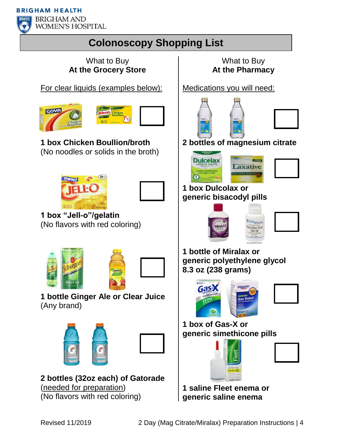**BRIGHAM HEALTH** 



**BRIGHAM AND WOMEN'S HOSPITAL** 

# **Colonoscopy Shopping List**

### What to Buy **At the Grocery Store**

For clear liquids (examples below):





**1 box Chicken Boullion/broth** (No noodles or solids in the broth)





**1 box "Jell-o"/gelatin** (No flavors with red coloring)





**1 bottle Ginger Ale or Clear Juice**  (Any brand)





**2 bottles (32oz each) of Gatorade**  (needed for preparation) (No flavors with red coloring)

## What to Buy **At the Pharmacy**

Medications you will need:





**2 bottles of magnesium citrate**





**1 box Dulcolax or generic bisacodyl pills**



**1 bottle of Miralax or generic polyethylene glycol 8.3 oz (238 grams)**



**1 box of Gas-X or generic simethicone pills**





**1 saline Fleet enema or generic saline enema**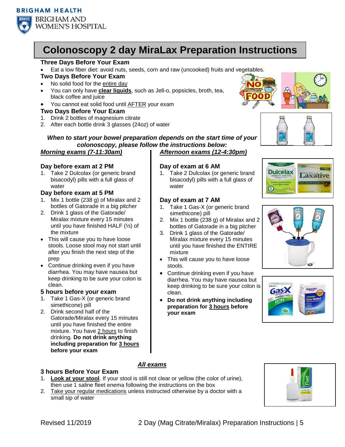

# **Colonoscopy 2 day MiraLax Preparation Instructions**

#### **Three Days Before Your Exam**

- Eat a low fiber diet: avoid nuts, seeds, corn and raw (uncooked) fruits and vegetables. **Two Days Before Your Exam**
- 
- No solid food for the entire day
- You can only have **clear liquids**, such as Jell-o, popsicles, broth, tea, black coffee and juice
- You cannot eat solid food until AFTER your exam

#### **Two Days Before Your Exam**

- 1. Drink 2 bottles of magnesium citrate
- 2. After each bottle drink 3 glasses (24oz) of water



**Dulcolax** 

 $\bigcirc$ 



*When to start your bowel preparation depends on the start time of your colonoscopy, please follow the instructions below: Morning exams (7-11:30am) Afternoon exams (12-4:30pm)*

**Day of exam at 6 AM**

**Day of exam at 7 AM**

simethicone) pill

water

mixture

stools.

clean.

**your exam**

1. Take 2 Dulcolax (or generic brand bisacodyl) pills with a full glass of

1. Take 1 Gas-X (or generic brand

3. Drink 1 glass of the Gatorade/ Miralax mixture every 15 minutes until you have finished the ENTIRE

• This will cause you to have loose

Continue drinking even if you have

 **Do not drink anything including preparation for 3 hours before** 

bottles of Gatorade in a big pitcher

#### **Day before exam at 2 PM**

1. Take 2 Dulcolax (or generic brand bisacodyl) pills with a full glass of water

#### **Day before exam at 5 PM**

- 1. Mix 1 bottle (238 g) of Miralax and 2 bottles of Gatorade in a big pitcher
- 2. Drink 1 glass of the Gatorade/ Miralax mixture every 15 minutes until you have finished HALF (½) of the mixture
- This will cause you to have loose stools. Loose stool may not start until after you finish the next step of the prep
- Continue drinking even if you have diarrhea. You may have nausea but keep drinking to be sure your colon is clean.

#### **5 hours before your exam**

- 1. Take 1 Gas-X (or generic brand simethicone) pill
- 2. Drink second half of the Gatorade/Miralax every 15 minutes until you have finished the entire mixture. You have 2 hours to finish drinking. **Do not drink anything including preparation for 3 hours before your exam**

### **3 hours Before Your Exam**

#### *All exams*

- 1. **Look at your stool**. If your stool is still not clear or yellow (the color of urine), then use 1 saline fleet enema following the instructions on the box
- 2. Take your regular medications unless instructed otherwise by a doctor with a small sip of water





Laxative

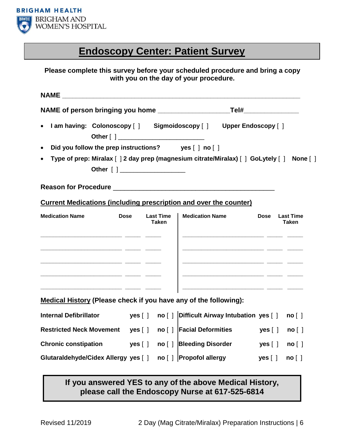

# **Endoscopy Center: Patient Survey**

### **Please complete this survey before your scheduled procedure and bring a copy with you on the day of your procedure.**

| <b>NAME</b>                                                                    |  |                                  |                                                                                            |                                                 |  |
|--------------------------------------------------------------------------------|--|----------------------------------|--------------------------------------------------------------------------------------------|-------------------------------------------------|--|
|                                                                                |  |                                  |                                                                                            |                                                 |  |
| $\bullet$                                                                      |  |                                  | I am having: Colonoscopy [ ] Sigmoidoscopy [ ] Upper Endoscopy [ ]                         |                                                 |  |
| Did you follow the prep instructions? yes [ ] no [ ]<br>$\bullet$              |  |                                  |                                                                                            |                                                 |  |
| $\bullet$                                                                      |  |                                  | Type of prep: Miralax [ ] 2 day prep (magnesium citrate/Miralax) [ ] GoLytely [ ] None [ ] |                                                 |  |
|                                                                                |  |                                  |                                                                                            |                                                 |  |
| <b>Current Medications (including prescription and over the counter)</b>       |  |                                  |                                                                                            |                                                 |  |
| <b>Dose</b><br><b>Medication Name</b>                                          |  | <b>Last Time</b><br><b>Taken</b> | <b>Medication Name</b>                                                                     | <b>Dose</b><br><b>Last Time</b><br><b>Taken</b> |  |
| <u> 2000 - Andrea Aonaichte ann an Comhan ann an Comhan ann an 1964. An t-</u> |  |                                  | <u> 2000 - Jan James James Jan James (h. 1980).</u>                                        |                                                 |  |
|                                                                                |  |                                  |                                                                                            |                                                 |  |
| Medical History (Please check if you have any of the following):               |  |                                  |                                                                                            |                                                 |  |
| <b>Internal Defibrillator</b>                                                  |  |                                  |                                                                                            | no [ ]                                          |  |
| Restricted Neck Movement yes [ ] no [ ] Facial Deformities                     |  |                                  |                                                                                            | yes [ ]<br>no [ ]                               |  |
| Chronic constipation yes [ ] no [ ] Bleeding Disorder                          |  |                                  |                                                                                            | yes [ ]<br>no [ ]                               |  |
| Glutaraldehyde/Cidex Allergy yes [ ] no [ ] Propofol allergy                   |  |                                  |                                                                                            | yes [ ]<br>no [ ]                               |  |

### **If you answered YES to any of the above Medical History, please call the Endoscopy Nurse at 617-525-6814**